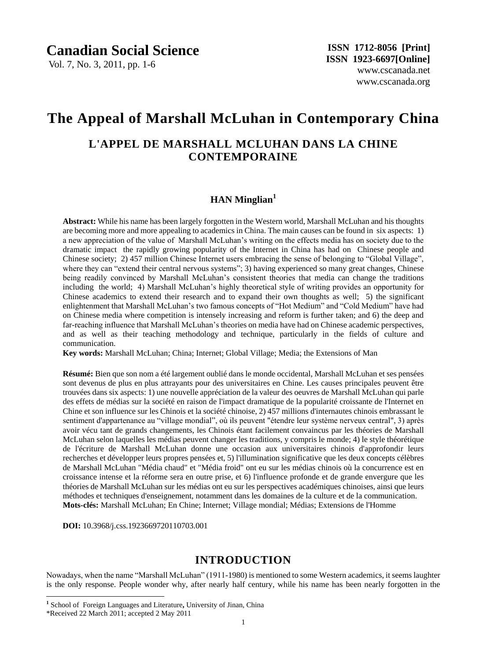Vol. 7, No. 3, 2011, pp. 1-6

# **The Appeal of Marshall McLuhan in Contemporary China**

# **L'APPEL DE MARSHALL MCLUHAN DANS LA CHINE CONTEMPORAINE**

# **HAN Minglian<sup>1</sup>**

**Abstract:** While his name has been largely forgotten in the Western world, Marshall McLuhan and his thoughts are becoming more and more appealing to academics in China. The main causes can be found in six aspects: 1) a new appreciation of the value of Marshall McLuhan"s writing on the effects media has on society due to the dramatic impact the rapidly growing popularity of the Internet in China has had on Chinese people and Chinese society; 2) 457 million Chinese Internet users embracing the sense of belonging to "Global Village", where they can "extend their central nervous systems"; 3) having experienced so many great changes, Chinese being readily convinced by Marshall McLuhan"s consistent theories that media can change the traditions including the world; 4) Marshall McLuhan's highly theoretical style of writing provides an opportunity for Chinese academics to extend their research and to expand their own thoughts as well; 5) the significant enlightenment that Marshall McLuhan"s two famous concepts of "Hot Medium" and "Cold Medium" have had on Chinese media where competition is intensely increasing and reform is further taken; and 6) the deep and far-reaching influence that Marshall McLuhan"s theories on media have had on Chinese academic perspectives, and as well as their teaching methodology and technique, particularly in the fields of culture and communication.

**Key words:** Marshall McLuhan; China; Internet; Global Village; Media; the Extensions of Man

Résum é: Bien que son nom a été largement oublié dans le monde occidental, Marshall McLuhan et ses pensées sont devenus de plus en plus attrayants pour des universitaires en Chine. Les causes principales peuvent être trouvées dans six aspects: 1) une nouvelle appréciation de la valeur des oeuvres de Marshall McLuhan qui parle des effets de médias sur la société en raison de l'impact dramatique de la popularité croissante de l'Internet en Chine et son influence sur les Chinois et la société chinoise, 2) 457 millions d'internautes chinois embrassant le sentiment d'appartenance au "village mondial", où ils peuvent "étendre leur système nerveux central", 3) après avoir vécu tant de grands changements, les Chinois étant facilement convaincus par les théories de Marshall McLuhan selon laquelles les médias peuvent changer les traditions, y compris le monde; 4) le style théorétique de l'écriture de Marshall McLuhan donne une occasion aux universitaires chinois d'approfondir leurs recherches et développer leurs propres pensées et, 5) l'illumination significative que les deux concepts célèbres de Marshall McLuhan "Média chaud" et "Média froid" ont eu sur les médias chinois où la concurrence est en croissance intense et la réforme sera en outre prise, et 6) l'influence profonde et de grande envergure que les théories de Marshall McLuhan sur les médias ont eu sur les perspectives académiques chinoises, ainsi que leurs méthodes et techniques d'enseignement, notamment dans les domaines de la culture et de la communication. **Mots-clés:** Marshall McLuhan; En Chine; Internet; Village mondial; Médias; Extensions de l'Homme

**DOI:** 10.3968/j.css.1923669720110703.001

# **INTRODUCTION**

Nowadays, when the name "Marshall McLuhan" (1911-1980) is mentioned to some Western academics, it seems laughter is the only response. People wonder why, after nearly half century, while his name has been nearly forgotten in the

 $\overline{a}$ 

**<sup>1</sup>** School of Foreign Languages and Literature**,** University of Jinan, China

<sup>\*</sup>Received 22 March 2011; accepted 2 May 2011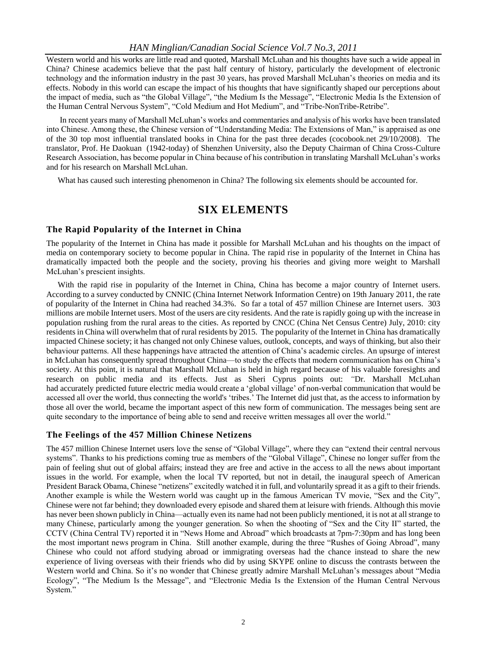#### *HAN Minglian/Canadian Social Science Vol.7 No.3, 2011*

Western world and his works are little read and quoted, Marshall McLuhan and his thoughts have such a wide appeal in China? Chinese academics believe that the past half century of history, particularly the development of electronic technology and the information industry in the past 30 years, has proved Marshall McLuhan"s theories on media and its effects. Nobody in this world can escape the impact of his thoughts that have significantly shaped our perceptions about the impact of media, such as "the Global Village", "the Medium Is the Message", "Electronic Media Is the Extension of the Human Central Nervous System", "Cold Medium and Hot Medium", and "Tribe-NonTribe-Retribe".

In recent years many of Marshall McLuhan"s works and commentaries and analysis of his works have been translated into Chinese. Among these, the Chinese version of "Understanding Media: The Extensions of Man," is appraised as one of the 30 top most influential translated books in China for the past three decades (cocobook.net 29/10/2008). The translator, Prof. He Daokuan (1942-today) of Shenzhen University, also the Deputy Chairman of China Cross-Culture Research Association, has become popular in China because of his contribution in translating Marshall McLuhan"s works and for his research on Marshall McLuhan.

What has caused such interesting phenomenon in China? The following six elements should be accounted for.

# **SIX ELEMENTS**

#### **The Rapid Popularity of the Internet in China**

The popularity of the Internet in China has made it possible for Marshall McLuhan and his thoughts on the impact of media on contemporary society to become popular in China. The rapid rise in popularity of the Internet in China has dramatically impacted both the people and the society, proving his theories and giving more weight to Marshall McLuhan"s prescient insights.

With the rapid rise in popularity of the Internet in China, China has become a major country of Internet users. According to a survey conducted by CNNIC (China Internet Network Information Centre) on 19th January 2011, the rate of popularity of the Internet in China had reached 34.3%. So far a total of 457 million Chinese are Internet users. 303 millions are mobile Internet users. Most of the users are city residents. And the rate is rapidly going up with the increase in population rushing from the rural areas to the cities. As reported by CNCC (China Net Census Centre) July, 2010: city residents in China will overwhelm that of rural residents by 2015. The popularity of the Internet in China has dramatically impacted Chinese society; it has changed not only Chinese values, outlook, concepts, and ways of thinking, but also their behaviour patterns. All these happenings have attracted the attention of China"s academic circles. An upsurge of interest in McLuhan has consequently spread throughout China—to study the effects that modern communication has on China"s society. At this point, it is natural that Marshall McLuhan is held in high regard because of his valuable foresights and research on public media and its effects. Just as Sheri Cyprus points out: *"*Dr. Marshall McLuhan had accurately predicted future electric media would create a "global village" of non-verbal communication that would be accessed all over the world, thus connecting the world's "tribes." The Internet did just that, as the access to information by those all over the world, became the important aspect of this new form of communication. The messages being sent are quite secondary to the importance of being able to send and receive written messages all over the world."

#### **The Feelings of the 457 Million Chinese Netizens**

The 457 million Chinese Internet users love the sense of "Global Village", where they can "extend their central nervous systems". Thanks to his predictions coming true as members of the "Global Village", Chinese no longer suffer from the pain of feeling shut out of global affairs; instead they are free and active in the access to all the news about important issues in the world. For example, when the local TV reported, but not in detail, the inaugural speech of American President Barack Obama, Chinese "netizens" excitedly watched it in full, and voluntarily spread it as a gift to their friends. Another example is while the Western world was caught up in the famous American TV movie, "Sex and the City", Chinese were not far behind; they downloaded every episode and shared them at leisure with friends. Although this movie has never been shown publicly in China—actually even its name had not been publicly mentioned, it is not at all strange to many Chinese, particularly among the younger generation. So when the shooting of "Sex and the City II" started, the CCTV (China Central TV) reported it in "News Home and Abroad" which broadcasts at 7pm-7:30pm and has long been the most important news program in China. Still another example, during the three "Rushes of Going Abroad", many Chinese who could not afford studying abroad or immigrating overseas had the chance instead to share the new experience of living overseas with their friends who did by using SKYPE online to discuss the contrasts between the Western world and China. So it's no wonder that Chinese greatly admire Marshall McLuhan's messages about "Media Ecology", "The Medium Is the Message", and "Electronic Media Is the Extension of the Human Central Nervous System."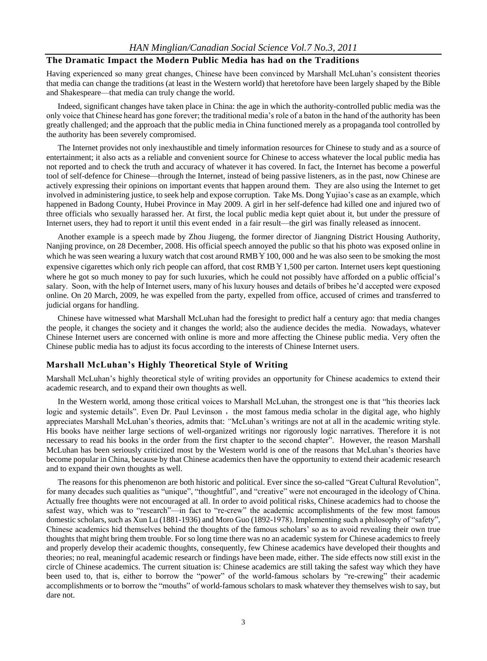### **The Dramatic Impact the Modern Public Media has had on the Traditions**

Having experienced so many great changes, Chinese have been convinced by Marshall McLuhan"s consistent theories that media can change the traditions (at least in the Western world) that heretofore have been largely shaped by the Bible and Shakespeare—that media can truly change the world.

Indeed, significant changes have taken place in China: the age in which the authority-controlled public media was the only voice that Chinese heard has gone forever; the traditional media"s role of a baton in the hand of the authority has been greatly challenged; and the approach that the public media in China functioned merely as a propaganda tool controlled by the authority has been severely compromised.

The Internet provides not only inexhaustible and timely information resources for Chinese to study and as a source of entertainment; it also acts as a reliable and convenient source for Chinese to access whatever the local public media has not reported and to check the truth and accuracy of whatever it has covered. In fact, the Internet has become a powerful tool of self-defence for Chinese—through the Internet, instead of being passive listeners, as in the past, now Chinese are actively expressing their opinions on important events that happen around them. They are also using the Internet to get involved in administering justice, to seek help and expose corruption. Take Ms. Dong Yujiao's case as an example, which happened in Badong County, Hubei Province in May 2009. A girl in her self-defence had killed one and injured two of three officials who sexually harassed her. At first, the local public media kept quiet about it, but under the pressure of Internet users, they had to report it until this event ended in a fair result—the girl was finally released as innocent.

Another example is a speech made by Zhou Jiugeng, the former director of Jiangning District Housing Authority, Nanjing province, on 28 December, 2008. His official speech annoyed the public so that his photo was exposed online in which he was seen wearing a luxury watch that cost around RMB  $Y100$ , 000 and he was also seen to be smoking the most expensive cigarettes which only rich people can afford, that cost RMB  $\angle$  1,500 per carton. Internet users kept questioning where he got so much money to pay for such luxuries, which he could not possibly have afforded on a public official's salary. Soon, with the help of Internet users, many of his luxury houses and details of bribes he"d accepted were exposed online. On 20 March, 2009, he was expelled from the party, expelled from office, accused of crimes and transferred to judicial organs for handling.

Chinese have witnessed what Marshall McLuhan had the foresight to predict half a century ago: that media changes the people, it changes the society and it changes the world; also the audience decides the media. Nowadays, whatever Chinese Internet users are concerned with online is more and more affecting the Chinese public media. Very often the Chinese public media has to adjust its focus according to the interests of Chinese Internet users.

#### **Marshall McLuhan's Highly Theoretical Style of Writing**

Marshall McLuhan"s highly theoretical style of writing provides an opportunity for Chinese academics to extend their academic research, and to expand their own thoughts as well.

In the Western world, among those critical voices to Marshall McLuhan, the strongest one is that "his theories lack logic and systemic details". Even Dr. Paul Levinson, the most famous media scholar in the digital age, who highly appreciates Marshall McLuhan"s theories, admits that: *"*McLuhan"s writings are not at all in the academic writing style. His books have neither large sections of well-organized writings nor rigorously logic narratives. Therefore it is not necessary to read his books in the order from the first chapter to the second chapter". However, the reason Marshall McLuhan has been seriously criticized most by the Western world is one of the reasons that McLuhan"s theories have become popular in China, because by that Chinese academics then have the opportunity to extend their academic research and to expand their own thoughts as well.

The reasons for this phenomenon are both historic and political. Ever since the so-called "Great Cultural Revolution", for many decades such qualities as "unique", "thoughtful", and "creative" were not encouraged in the ideology of China. Actually free thoughts were not encouraged at all. In order to avoid political risks, Chinese academics had to choose the safest way, which was to "research"—in fact to "re-crew" the academic accomplishments of the few most famous domestic scholars, such as Xun Lu (1881-1936) and Moro Guo (1892-1978). Implementing such a philosophy of "safety", Chinese academics hid themselves behind the thoughts of the famous scholars" so as to avoid revealing their own true thoughts that might bring them trouble. For so long time there was no an academic system for Chinese academics to freely and properly develop their academic thoughts, consequently, few Chinese academics have developed their thoughts and theories; no real, meaningful academic research or findings have been made, either. The side effects now still exist in the circle of Chinese academics. The current situation is: Chinese academics are still taking the safest way which they have been used to, that is, either to borrow the "power" of the world-famous scholars by "re-crewing" their academic accomplishments or to borrow the "mouths" of world-famous scholars to mask whatever they themselves wish to say, but dare not.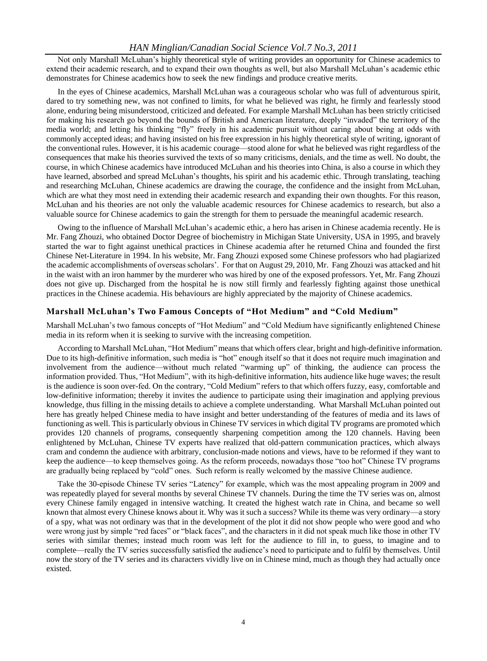#### *HAN Minglian/Canadian Social Science Vol.7 No.3, 2011*

Not only Marshall McLuhan"s highly theoretical style of writing provides an opportunity for Chinese academics to extend their academic research, and to expand their own thoughts as well, but also Marshall McLuhan"s academic ethic demonstrates for Chinese academics how to seek the new findings and produce creative merits.

In the eyes of Chinese academics, Marshall McLuhan was a courageous scholar who was full of adventurous spirit, dared to try something new, was not confined to limits, for what he believed was right, he firmly and fearlessly stood alone, enduring being misunderstood, criticized and defeated. For example Marshall McLuhan has been strictly criticised for making his research go beyond the bounds of British and American literature, deeply "invaded" the territory of the media world; and letting his thinking "fly" freely in his academic pursuit without caring about being at odds with commonly accepted ideas; and having insisted on his free expression in his highly theoretical style of writing, ignorant of the conventional rules. However, it is his academic courage—stood alone for what he believed was right regardless of the consequences that make his theories survived the texts of so many criticisms, denials, and the time as well. No doubt, the course, in which Chinese academics have introduced McLuhan and his theories into China, is also a course in which they have learned, absorbed and spread McLuhan's thoughts, his spirit and his academic ethic. Through translating, teaching and researching McLuhan, Chinese academics are drawing the courage, the confidence and the insight from McLuhan, which are what they most need in extending their academic research and expanding their own thoughts. For this reason, McLuhan and his theories are not only the valuable academic resources for Chinese academics to research, but also a valuable source for Chinese academics to gain the strength for them to persuade the meaningful academic research.

Owing to the influence of Marshall McLuhan"s academic ethic, a hero has arisen in Chinese academia recently. He is Mr. Fang Zhouzi, who obtained Doctor Degree of biochemistry in Michigan State University, USA in 1995, and bravely started the war to fight against unethical practices in Chinese academia after he returned China and founded the first Chinese Net-Literature in 1994. In his website, Mr. Fang Zhouzi exposed some Chinese professors who had plagiarized the academic accomplishments of overseas scholars". For that on August 29, 2010, Mr. Fang Zhouzi was attacked and hit in the waist with an iron hammer by the murderer who was hired by one of the exposed professors. Yet, Mr. Fang Zhouzi does not give up. Discharged from the hospital he is now still firmly and fearlessly fighting against those unethical practices in the Chinese academia. His behaviours are highly appreciated by the majority of Chinese academics.

#### **Marshall McLuhan's Two Famous Concepts of "Hot Medium" and "Cold Medium"**

Marshall McLuhan"s two famous concepts of "Hot Medium" and "Cold Medium have significantly enlightened Chinese media in its reform when it is seeking to survive with the increasing competition.

According to Marshall McLuhan, "Hot Medium" means that which offers clear, bright and high-definitive information. Due to its high-definitive information, such media is "hot" enough itself so that it does not require much imagination and involvement from the audience—without much related "warming up" of thinking, the audience can process the information provided. Thus, "Hot Medium", with its high-definitive information, hits audience like huge waves; the result is the audience is soon over-fed. On the contrary, "Cold Medium" refers to that which offers fuzzy, easy, comfortable and low-definitive information; thereby it invites the audience to participate using their imagination and applying previous knowledge, thus filling in the missing details to achieve a complete understanding. What Marshall McLuhan pointed out here has greatly helped Chinese media to have insight and better understanding of the features of media and its laws of functioning as well. This is particularly obvious in Chinese TV services in which digital TV programs are promoted which provides 120 channels of programs, consequently sharpening competition among the 120 channels. Having been enlightened by McLuhan, Chinese TV experts have realized that old-pattern communication practices, which always cram and condemn the audience with arbitrary, conclusion-made notions and views, have to be reformed if they want to keep the audience—to keep themselves going. As the reform proceeds, nowadays those "too hot" Chinese TV programs are gradually being replaced by "cold" ones. Such reform is really welcomed by the massive Chinese audience.

Take the 30-episode Chinese TV series "Latency" for example, which was the most appealing program in 2009 and was repeatedly played for several months by several Chinese TV channels. During the time the TV series was on, almost every Chinese family engaged in intensive watching. It created the highest watch rate in China, and became so well known that almost every Chinese knows about it. Why was it such a success? While its theme was very ordinary—a story of a spy, what was not ordinary was that in the development of the plot it did not show people who were good and who were wrong just by simple "red faces" or "black faces", and the characters in it did not speak much like those in other TV series with similar themes; instead much room was left for the audience to fill in, to guess, to imagine and to complete—really the TV series successfully satisfied the audience"s need to participate and to fulfil by themselves. Until now the story of the TV series and its characters vividly live on in Chinese mind, much as though they had actually once existed.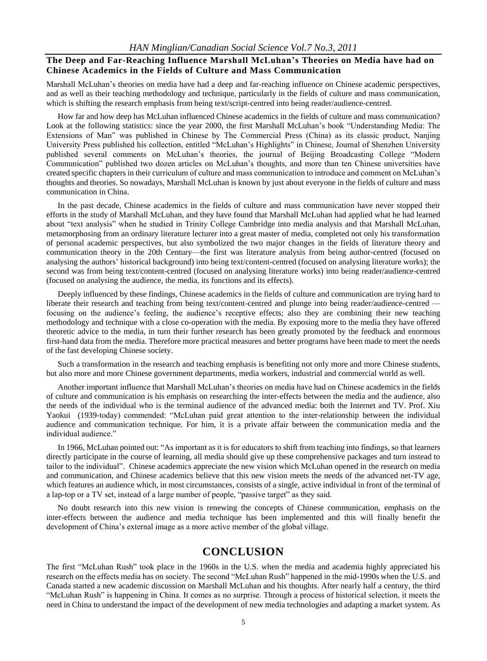#### **The Deep and Far-Reaching Influence Marshall McLuhan's Theories on Media have had on Chinese Academics in the Fields of Culture and Mass Communication**

Marshall McLuhan"s theories on media have had a deep and far-reaching influence on Chinese academic perspectives, and as well as their teaching methodology and technique, particularly in the fields of culture and mass communication, which is shifting the research emphasis from being text/script-centred into being reader/audience-centred.

How far and how deep has McLuhan influenced Chinese academics in the fields of culture and mass communication? Look at the following statistics: since the year 2000, the first Marshall McLuhan"s book "Understanding Media: The Extensions of Man" was published in Chinese by The Commercial Press (China) as its classic product, Nanjing University Press published his collection, entitled "McLuhan"s Highlights" in Chinese, Journal of Shenzhen University published several comments on McLuhan"s theories, the journal of Beijing Broadcasting College "Modern Communication" published two dozen articles on McLuhan"s thoughts, and more than ten Chinese universities have created specific chapters in their curriculum of culture and mass communication to introduce and comment on McLuhan"s thoughts and theories. So nowadays, Marshall McLuhan is known by just about everyone in the fields of culture and mass communication in China.

In the past decade, Chinese academics in the fields of culture and mass communication have never stopped their efforts in the study of Marshall McLuhan, and they have found that Marshall McLuhan had applied what he had learned about "text analysis" when he studied in Trinity College Cambridge into media analysis and that Marshall McLuhan, metamorphosing from an ordinary literature lecturer into a great master of media, completed not only his transformation of personal academic perspectives, but also symbolized the two major changes in the fields of literature theory and communication theory in the 20th Century—the first was literature analysis from being author-centred (focused on analysing the authors" historical background) into being text/content-centred (focused on analysing literature works); the second was from being text/content-centred (focused on analysing literature works) into being reader/audience-centred (focused on analysing the audience, the media, its functions and its effects).

Deeply influenced by these findings, Chinese academics in the fields of culture and communication are trying hard to liberate their research and teaching from being text/content-centred and plunge into being reader/audience-centred focusing on the audience"s feeling, the audience"s receptive effects; also they are combining their new teaching methodology and technique with a close co-operation with the media. By exposing more to the media they have offered theoretic advice to the media, in turn their further research has been greatly promoted by the feedback and enormous first-hand data from the media. Therefore more practical measures and better programs have been made to meet the needs of the fast developing Chinese society.

Such a transformation in the research and teaching emphasis is benefiting not only more and more Chinese students, but also more and more Chinese government departments, media workers, industrial and commercial world as well.

Another important influence that Marshall McLuhan"s theories on media have had on Chinese academics in the fields of culture and communication is his emphasis on researching the inter-effects between the media and the audience, also the needs of the individual who is the terminal audience of the advanced media: both the Internet and TV. Prof. Xiu Yaokui (1939-today) commended: "McLuhan paid great attention to the inter-relationship between the individual audience and communication technique. For him, it is a private affair between the communication media and the individual audience."

In 1966, McLuhan pointed out: "As important as it is for educators to shift from teaching into findings, so that learners directly participate in the course of learning, all media should give up these comprehensive packages and turn instead to tailor to the individual". Chinese academics appreciate the new vision which McLuhan opened in the research on media and communication, and Chinese academics believe that this new vision meets the needs of the advanced net-TV age, which features an audience which, in most circumstances, consists of a single, active individual in front of the terminal of a lap-top or a TV set, instead of a large number of people, "passive target" as they said.

No doubt research into this new vision is renewing the concepts of Chinese communication, emphasis on the inter-effects between the audience and media technique has been implemented and this will finally benefit the development of China's external image as a more active member of the global village.

# **CONCLUSION**

The first "McLuhan Rush" took place in the 1960s in the U.S. when the media and academia highly appreciated his research on the effects media has on society. The second "McLuhan Rush" happened in the mid-1990s when the U.S. and Canada started a new academic discussion on Marshall McLuhan and his thoughts. After nearly half a century, the third "McLuhan Rush" is happening in China. It comes as no surprise. Through a process of historical selection, it meets the need in China to understand the impact of the development of new media technologies and adapting a market system. As